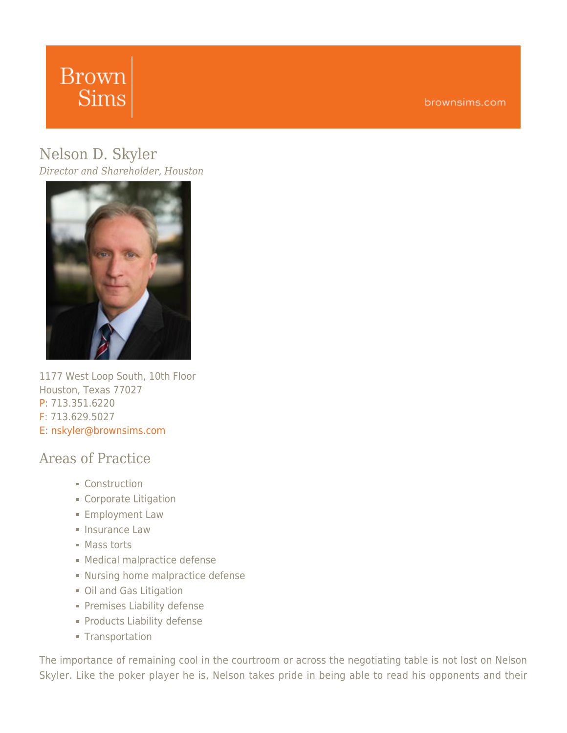# **Brown Sims**

brownsims.com

# [Nelson](https://www.brownsims.com/lawyers/name/nelson-skyler/detail/) [D.](https://www.brownsims.com/lawyers/name/nelson-skyler/detail/) [Skyler](https://www.brownsims.com/lawyers/name/nelson-skyler/detail/)

*Director and Shareholder, Houston*



1177 West Loop South, 10th Floor Houston, Texas 77027 P: 713.351.6220 F: 713.629.5027 E: [nskyler@brownsims.com](mailto:nskyler@brownsims.com)

#### Areas of Practice

- Construction
- **Corporate Litigation**
- **Employment Law**
- **Insurance Law**
- Mass torts
- **Medical malpractice defense**
- **Nursing home malpractice defense**
- **Oil and Gas Litigation**
- **Premises Liability defense**
- **Products Liability defense**
- **Transportation**

The importance of remaining cool in the courtroom or across the negotiating table is not lost on Nelson Skyler. Like the poker player he is, Nelson takes pride in being able to read his opponents and their